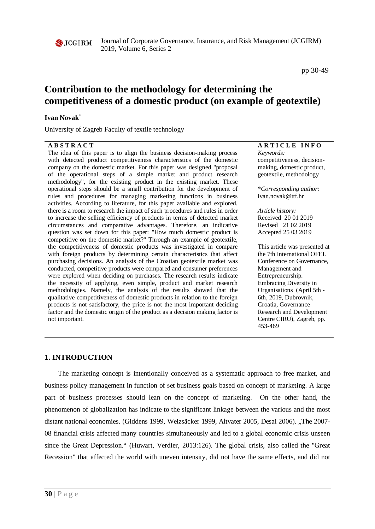

Journal of Corporate Governance, Insurance, and Risk Management (JCGIRM) 2019, Volume 6, Series 2

pp 30-49

# **Contribution to the methodology for determining the competitiveness of a domestic product (on example of geotextile)**

## **Ivan Novak**\*

University of Zagreb Faculty of textile technology

| <b>ABSTRACT</b>                                                              | <b>ARTICLE INFO</b>           |
|------------------------------------------------------------------------------|-------------------------------|
| The idea of this paper is to align the business decision-making process      | Keywords:                     |
| with detected product competitiveness characteristics of the domestic        | competitiveness, decision-    |
| company on the domestic market. For this paper was designed "proposal        | making, domestic product,     |
| of the operational steps of a simple market and product research             | geotextile, methodology       |
| methodology", for the existing product in the existing market. These         |                               |
| operational steps should be a small contribution for the development of      | *Corresponding author:        |
| rules and procedures for managing marketing functions in business            | ivan.novak@ttf.hr             |
| activities. According to literature, for this paper available and explored,  |                               |
| there is a room to research the impact of such procedures and rules in order | Article history:              |
| to increase the selling efficiency of products in terms of detected market   | Received 20 01 2019           |
| circumstances and comparative advantages. Therefore, an indicative           | Revised 21 02 2019            |
| question was set down for this paper: "How much domestic product is          | Accepted 25 03 2019           |
| competitive on the domestic market?" Through an example of geotextile,       |                               |
| the competitiveness of domestic products was investigated in compare         | This article was presented at |
| with foreign products by determining certain characteristics that affect     | the 7th International OFEL    |
| purchasing decisions. An analysis of the Croatian geotextile market was      | Conference on Governance,     |
| conducted, competitive products were compared and consumer preferences       | Management and                |
| were explored when deciding on purchases. The research results indicate      | Entrepreneurship.             |
| the necessity of applying, even simple, product and market research          | Embracing Diversity in        |
| methodologies. Namely, the analysis of the results showed that the           | Organisations (April 5th -    |
| qualitative competitiveness of domestic products in relation to the foreign  | 6th, 2019, Dubrovnik,         |
| products is not satisfactory, the price is not the most important deciding   | Croatia, Governance           |
| factor and the domestic origin of the product as a decision making factor is | Research and Development      |
| not important.                                                               | Centre CIRU), Zagreb, pp.     |
|                                                                              | 453-469                       |
|                                                                              |                               |

# **1. INTRODUCTION**

The marketing concept is intentionally conceived as a systematic approach to free market, and business policy management in function of set business goals based on concept of marketing. A large part of business processes should lean on the concept of marketing. On the other hand, the phenomenon of globalization has indicate to the significant linkage between the various and the most distant national economies. (Giddens 1999, Weizsäcker 1999, Altvater 2005, Desai 2006). "The 2007-08 financial crisis affected many countries simultaneously and led to a global economic crisis unseen since the Great Depression." (Huwart, Verdier, 2013:126). The global crisis, also called the "Great Recession" that affected the world with uneven intensity, did not have the same effects, and did not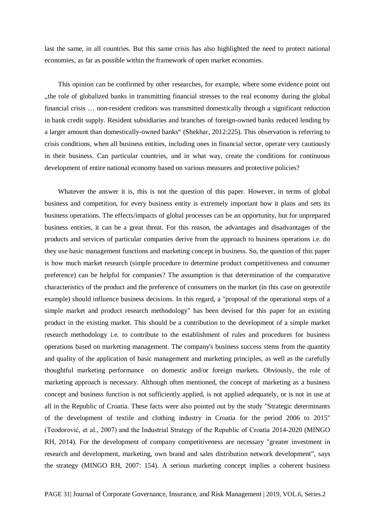last the same, in all countries. But this same crisis has also highlighted the need to protect national economies, as far as possible within the framework of open market economies.

This opinion can be confirmed by other researches, for example, where some evidence point out "the role of globalized banks in transmitting financial stresses to the real economy during the global" financial crisis … non-resident creditors was transmitted domestically through a significant reduction in bank credit supply. Resident subsidiaries and branches of foreign-owned banks reduced lending by a larger amount than domestically-owned banks" (Shekhar, 2012:225). This observation is referring to crisis conditions, when all business entities, including ones in financial sector, operate very cautiously in their business. Can particular countries, and in what way, create the conditions for continuous development of entire national economy based on various measures and protective policies?

Whatever the answer it is, this is not the question of this paper. However, in terms of global business and competition, for every business entity is extremely important how it plans and sets its business operations. The effects/impacts of global processes can be an opportunity, but for unprepared business entities, it can be a great threat. For this reason, the advantages and disadvantages of the products and services of particular companies derive from the approach to business operations i.e. do they use basic management functions and marketing concept in business. So, the question of this paper is how much market research (simple procedure to determine product competitiveness and consumer preference) can be helpful for companies? The assumption is that determination of the comparative characteristics of the product and the preference of consumers on the market (in this case on geotextile example) should influence business decisions. In this regard, a "proposal of the operational steps of a simple market and product research methodology" has been devised for this paper for an existing product in the existing market. This should be a contribution to the development of a simple market research methodology i.e. to contribute to the establishment of rules and procedures for business operations based on marketing management. The company's business success stems from the quantity and quality of the application of basic management and marketing principles, as well as the carefully thoughtful marketing performance on domestic and/or foreign markets. Obviously, the role of marketing approach is necessary. Although often mentioned, the concept of marketing as a business concept and business function is not sufficiently applied, is not applied adequately, or is not in use at all in the Republic of Croatia. These facts were also pointed out by the study "Strategic determinants of the development of textile and clothing industry in Croatia for the period 2006 to 2015" (Teodorović, et al., 2007) and the Industrial Strategy of the Republic of Croatia 2014-2020 (MINGO RH, 2014). For the development of company competitiveness are necessary "greater investment in research and development, marketing, own brand and sales distribution network development", says the strategy (MINGO RH, 2007: 154). A serious marketing concept implies a coherent business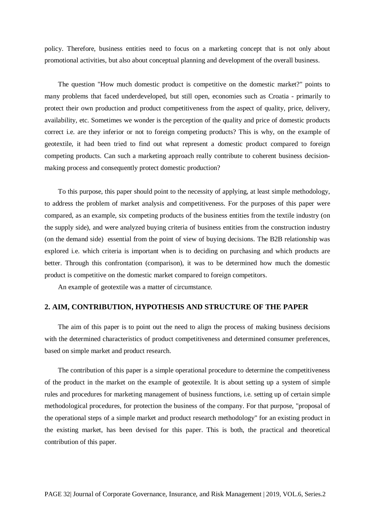policy. Therefore, business entities need to focus on a marketing concept that is not only about promotional activities, but also about conceptual planning and development of the overall business.

The question "How much domestic product is competitive on the domestic market?" points to many problems that faced underdeveloped, but still open, economies such as Croatia - primarily to protect their own production and product competitiveness from the aspect of quality, price, delivery, availability, etc. Sometimes we wonder is the perception of the quality and price of domestic products correct i.e. are they inferior or not to foreign competing products? This is why, on the example of geotextile, it had been tried to find out what represent a domestic product compared to foreign competing products. Can such a marketing approach really contribute to coherent business decisionmaking process and consequently protect domestic production?

To this purpose, this paper should point to the necessity of applying, at least simple methodology, to address the problem of market analysis and competitiveness. For the purposes of this paper were compared, as an example, six competing products of the business entities from the textile industry (on the supply side), and were analyzed buying criteria of business entities from the construction industry (on the demand side) essential from the point of view of buying decisions. The B2B relationship was explored i.e. which criteria is important when is to deciding on purchasing and which products are better. Through this confrontation (comparison), it was to be determined how much the domestic product is competitive on the domestic market compared to foreign competitors.

An example of geotextile was a matter of circumstance.

## **2. AIM, CONTRIBUTION, HYPOTHESIS AND STRUCTURE OF THE PAPER**

The aim of this paper is to point out the need to align the process of making business decisions with the determined characteristics of product competitiveness and determined consumer preferences, based on simple market and product research.

The contribution of this paper is a simple operational procedure to determine the competitiveness of the product in the market on the example of geotextile. It is about setting up a system of simple rules and procedures for marketing management of business functions, i.e. setting up of certain simple methodological procedures, for protection the business of the company. For that purpose, "proposal of the operational steps of a simple market and product research methodology" for an existing product in the existing market, has been devised for this paper. This is both, the practical and theoretical contribution of this paper.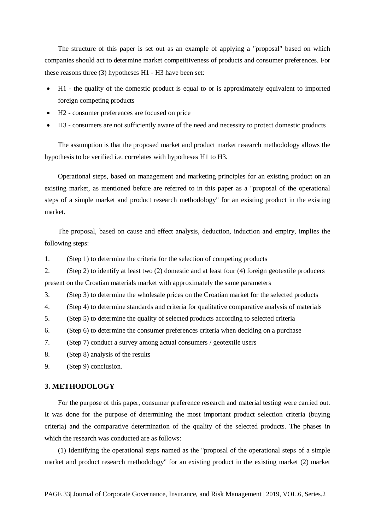The structure of this paper is set out as an example of applying a "proposal" based on which companies should act to determine market competitiveness of products and consumer preferences. For these reasons three (3) hypotheses H1 - H3 have been set:

- H1 the quality of the domestic product is equal to or is approximately equivalent to imported foreign competing products
- H2 consumer preferences are focused on price
- H3 consumers are not sufficiently aware of the need and necessity to protect domestic products

The assumption is that the proposed market and product market research methodology allows the hypothesis to be verified i.e. correlates with hypotheses H1 to H3.

Operational steps, based on management and marketing principles for an existing product on an existing market, as mentioned before are referred to in this paper as a "proposal of the operational steps of a simple market and product research methodology" for an existing product in the existing market.

The proposal, based on cause and effect analysis, deduction, induction and empiry, implies the following steps:

1. (Step 1) to determine the criteria for the selection of competing products

2. (Step 2) to identify at least two (2) domestic and at least four (4) foreign geotextile producers present on the Croatian materials market with approximately the same parameters

3. (Step 3) to determine the wholesale prices on the Croatian market for the selected products

4. (Step 4) to determine standards and criteria for qualitative comparative analysis of materials

5. (Step 5) to determine the quality of selected products according to selected criteria

6. (Step 6) to determine the consumer preferences criteria when deciding on a purchase

7. (Step 7) conduct a survey among actual consumers / geotextile users

- 8. (Step 8) analysis of the results
- 9. (Step 9) conclusion.

## **3. METHODOLOGY**

For the purpose of this paper, consumer preference research and material testing were carried out. It was done for the purpose of determining the most important product selection criteria (buying criteria) and the comparative determination of the quality of the selected products. The phases in which the research was conducted are as follows:

(1) Identifying the operational steps named as the "proposal of the operational steps of a simple market and product research methodology" for an existing product in the existing market (2) market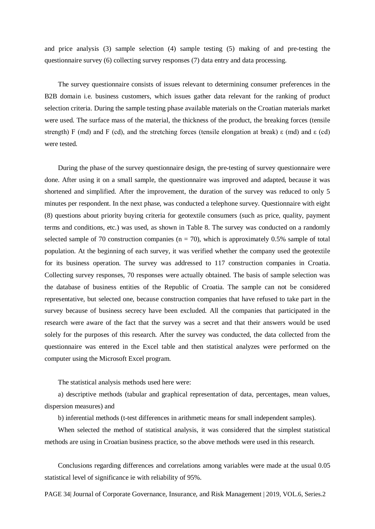and price analysis (3) sample selection (4) sample testing (5) making of and pre-testing the questionnaire survey (6) collecting survey responses (7) data entry and data processing.

The survey questionnaire consists of issues relevant to determining consumer preferences in the B2B domain i.e. business customers, which issues gather data relevant for the ranking of product selection criteria. During the sample testing phase available materials on the Croatian materials market were used. The surface mass of the material, the thickness of the product, the breaking forces (tensile strength) F (md) and F (cd), and the stretching forces (tensile elongation at break)  $\varepsilon$  (md) and  $\varepsilon$  (cd) were tested.

During the phase of the survey questionnaire design, the pre-testing of survey questionnaire were done. After using it on a small sample, the questionnaire was improved and adapted, because it was shortened and simplified. After the improvement, the duration of the survey was reduced to only 5 minutes per respondent. In the next phase, was conducted a telephone survey. Questionnaire with eight (8) questions about priority buying criteria for geotextile consumers (such as price, quality, payment terms and conditions, etc.) was used, as shown in Table 8. The survey was conducted on a randomly selected sample of 70 construction companies ( $n = 70$ ), which is approximately 0.5% sample of total population. At the beginning of each survey, it was verified whether the company used the geotextile for its business operation. The survey was addressed to 117 construction companies in Croatia. Collecting survey responses, 70 responses were actually obtained. The basis of sample selection was the database of business entities of the Republic of Croatia. The sample can not be considered representative, but selected one, because construction companies that have refused to take part in the survey because of business secrecy have been excluded. All the companies that participated in the research were aware of the fact that the survey was a secret and that their answers would be used solely for the purposes of this research. After the survey was conducted, the data collected from the questionnaire was entered in the Excel table and then statistical analyzes were performed on the computer using the Microsoft Excel program.

The statistical analysis methods used here were:

a) descriptive methods (tabular and graphical representation of data, percentages, mean values, dispersion measures) and

b) inferential methods (t-test differences in arithmetic means for small independent samples).

When selected the method of statistical analysis, it was considered that the simplest statistical methods are using in Croatian business practice, so the above methods were used in this research.

Conclusions regarding differences and correlations among variables were made at the usual 0.05 statistical level of significance ie with reliability of 95%.

PAGE 34| Journal of Corporate Governance, Insurance, and Risk Management | 2019, VOL.6, Series.2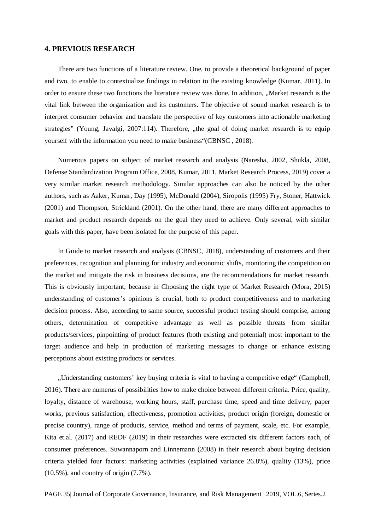## **4. PREVIOUS RESEARCH**

There are two functions of a literature review. One, to provide a theoretical background of paper and two, to enable to contextualize findings in relation to the existing knowledge (Kumar, 2011). In order to ensure these two functions the literature review was done. In addition, "Market research is the vital link between the organization and its customers. The objective of sound market research is to interpret consumer behavior and translate the perspective of key customers into actionable marketing strategies" (Young, Javalgi, 2007:114). Therefore,  $\mu$  the goal of doing market research is to equip yourself with the information you need to make business"(CBNSC , 2018).

Numerous papers on subject of market research and analysis (Naresha, 2002, Shukla, 2008, Defense Standardization Program Office, 2008, Kumar, 2011, Market Research Process, 2019) cover a very similar market research methodology. Similar approaches can also be noticed by the other authors, such as Aaker, Kumar, Day (1995), McDonald (2004), Siropolis (1995) Fry, Stoner, Hattwick (2001) and Thompson, Strickland (2001). On the other hand, there are many different approaches to market and product research depends on the goal they need to achieve. Only several, with similar goals with this paper, have been isolated for the purpose of this paper.

In Guide to market research and analysis (CBNSC, 2018), understanding of customers and their preferences, recognition and planning for industry and economic shifts, monitoring the competition on the market and mitigate the risk in business decisions, are the recommendations for market research. This is obviously important, because in Choosing the right type of Market Research (Mora, 2015) understanding of customer's opinions is crucial, both to product competitiveness and to marketing decision process. Also, according to same source, successful product testing should comprise, among others, determination of competitive advantage as well as possible threats from similar products/services, pinpointing of product features (both existing and potential) most important to the target audience and help in production of marketing messages to change or enhance existing perceptions about existing products or services.

"Understanding customers' key buying criteria is vital to having a competitive edge" (Campbell, 2016). There are numerus of possibilities how to make choice between different criteria. Price, quality, loyalty, distance of warehouse, working hours, staff, purchase time, speed and time delivery, paper works, previous satisfaction, effectiveness, promotion activities, product origin (foreign, domestic or precise country), range of products, service, method and terms of payment, scale, etc. For example, Kita et.al. (2017) and REDF (2019) in their researches were extracted six different factors each, of consumer preferences. Suwannaporn and Linnemann (2008) in their research about buying decision criteria yielded four factors: marketing activities (explained variance 26.8%), quality (13%), price (10.5%), and country of origin (7.7%).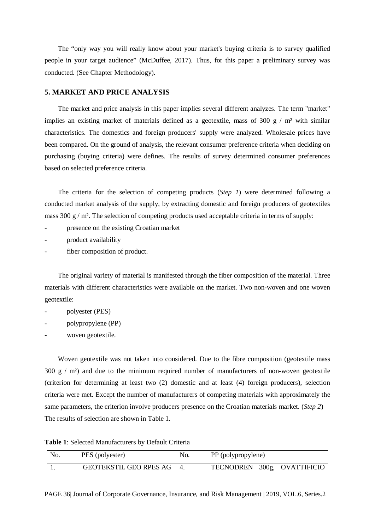The "only way you will really know about your market's buying criteria is to survey qualified people in your target audience" (McDuffee, 2017). Thus, for this paper a preliminary survey was conducted. (See Chapter Methodology).

## **5. MARKET AND PRICE ANALYSIS**

The market and price analysis in this paper implies several different analyzes. The term "market" implies an existing market of materials defined as a geotextile, mass of 300 g  $/$  m<sup>2</sup> with similar characteristics. The domestics and foreign producers' supply were analyzed. Wholesale prices have been compared. On the ground of analysis, the relevant consumer preference criteria when deciding on purchasing (buying criteria) were defines. The results of survey determined consumer preferences based on selected preference criteria.

The criteria for the selection of competing products (*Step 1*) were determined following a conducted market analysis of the supply, by extracting domestic and foreign producers of geotextiles mass 300 g / m<sup>2</sup>. The selection of competing products used acceptable criteria in terms of supply:

- presence on the existing Croatian market
- product availability
- fiber composition of product.

The original variety of material is manifested through the fiber composition of the material. Three materials with different characteristics were available on the market. Two non-woven and one woven geotextile:

- polyester (PES)
- polypropylene (PP)
- woven geotextile.

Woven geotextile was not taken into considered. Due to the fibre composition (geotextile mass  $300 \text{ g}$  / m<sup>2</sup>) and due to the minimum required number of manufacturers of non-woven geotextile (criterion for determining at least two (2) domestic and at least (4) foreign producers), selection criteria were met. Except the number of manufacturers of competing materials with approximately the same parameters, the criterion involve producers presence on the Croatian materials market. (*Step 2*) The results of selection are shown in Table 1.

**Table 1**: Selected Manufacturers by Default Criteria

| No. | PES (polyester)           | No. | PP (polypropylene)          |  |
|-----|---------------------------|-----|-----------------------------|--|
|     | GEOTEKSTIL GEO RPES AG 4. |     | TECNODREN 300g, OVATTIFICIO |  |

PAGE 36| Journal of Corporate Governance, Insurance, and Risk Management | 2019, VOL.6, Series.2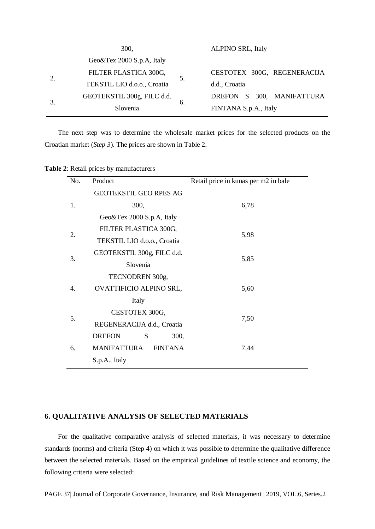| 300,                          |    | <b>ALPINO SRL, Italy</b>    |
|-------------------------------|----|-----------------------------|
| Geo $&$ Tex 2000 S.p.A, Italy |    |                             |
| FILTER PLASTICA 300G,         | 5. | CESTOTEX 300G, REGENERACIJA |
| TEKSTIL LIO d.o.o., Croatia   |    | d.d., Croatia               |
| GEOTEKSTIL 300g, FILC d.d.    | 6. | DREFON S 300, MANIFATTURA   |
| Slovenia                      |    | FINTANA S.p.A., Italy       |

The next step was to determine the wholesale market prices for the selected products on the Croatian market (*Step 3*). The prices are shown in Table 2.

| Table 2: Retail prices by manufacturers |  |  |  |
|-----------------------------------------|--|--|--|
|-----------------------------------------|--|--|--|

| No. | Product                              | Retail price in kunas per m2 in bale |
|-----|--------------------------------------|--------------------------------------|
|     | <b>GEOTEKSTIL GEO RPES AG</b>        |                                      |
| 1.  | 300,                                 | 6,78                                 |
|     | Geo&Tex 2000 S.p.A, Italy            |                                      |
| 2.  | FILTER PLASTICA 300G,                |                                      |
|     | TEKSTIL LIO d.o.o., Croatia          | 5,98                                 |
| 3.  | GEOTEKSTIL 300g, FILC d.d.           |                                      |
|     | Slovenia                             | 5,85                                 |
|     | TECNODREN 300g,                      |                                      |
| 4.  | OVATTIFICIO ALPINO SRL,              | 5,60                                 |
|     | Italy                                |                                      |
|     | CESTOTEX 300G,                       |                                      |
| 5.  | REGENERACIJA d.d., Croatia           | 7,50                                 |
|     | <b>DREFON</b><br>S<br>300,           |                                      |
| 6.  | <b>MANIFATTURA</b><br><b>FINTANA</b> | 7,44                                 |
|     | S.p.A., Italy                        |                                      |

## **6. QUALITATIVE ANALYSIS OF SELECTED MATERIALS**

For the qualitative comparative analysis of selected materials, it was necessary to determine standards (norms) and criteria (Step 4) on which it was possible to determine the qualitative difference between the selected materials. Based on the empirical guidelines of textile science and economy, the following criteria were selected:

PAGE 37| Journal of Corporate Governance, Insurance, and Risk Management | 2019, VOL.6, Series.2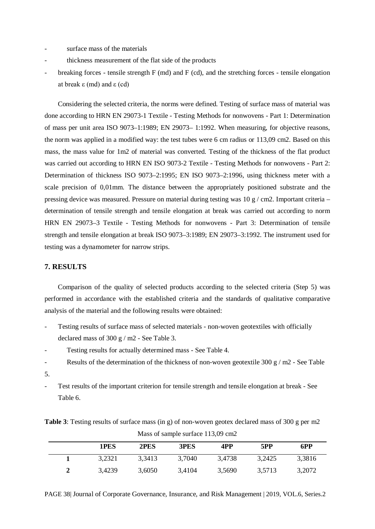- surface mass of the materials
- thickness measurement of the flat side of the products
- breaking forces tensile strength  $F$  (md) and  $F$  (cd), and the stretching forces tensile elongation at break ε (md) and ε (cd)

Considering the selected criteria, the norms were defined. Testing of surface mass of material was done according to HRN EN 29073-1 Textile - Testing Methods for nonwovens - Part 1: Determination of mass per unit area ISO 9073–1:1989; EN 29073– 1:1992. When measuring, for objective reasons, the norm was applied in a modified way: the test tubes were 6 cm radius or 113,09 cm2. Based on this mass, the mass value for 1m2 of material was converted. Testing of the thickness of the flat product was carried out according to HRN EN ISO 9073-2 Textile - Testing Methods for nonwovens - Part 2: Determination of thickness ISO 9073–2:1995; EN ISO 9073–2:1996, using thickness meter with a scale precision of 0,01mm. The distance between the appropriately positioned substrate and the pressing device was measured. Pressure on material during testing was  $10 \text{ g}$  / cm2. Important criteria – determination of tensile strength and tensile elongation at break was carried out according to norm HRN EN 29073–3 Textile - Testing Methods for nonwovens - Part 3: Determination of tensile strength and tensile elongation at break ISO 9073–3:1989; EN 29073–3:1992. The instrument used for testing was a dynamometer for narrow strips.

## **7. RESULTS**

Comparison of the quality of selected products according to the selected criteria (Step 5) was performed in accordance with the established criteria and the standards of qualitative comparative analysis of the material and the following results were obtained:

- Testing results of surface mass of selected materials non-woven geotextiles with officially declared mass of 300 g / m2 - See Table 3.
- Testing results for actually determined mass See Table 4.
- Results of the determination of the thickness of non-woven geotextile 300 g / m2 See Table
- 5.
- Test results of the important criterion for tensile strength and tensile elongation at break See Table 6.

**Table 3**: Testing results of surface mass (in g) of non-woven geotex declared mass of 300 g per m2 Mass of sample surface 113,09 cm2

|  | 1PES   | 2PES   | 3PES   | 4PP    | 5PP    | 6PP    |
|--|--------|--------|--------|--------|--------|--------|
|  | 3.2321 | 3,3413 | 3,7040 | 3.4738 | 3,2425 | 3,3816 |
|  | 3,4239 | 3,6050 | 3,4104 | 3,5690 | 3,5713 | 3,2072 |

PAGE 38| Journal of Corporate Governance, Insurance, and Risk Management | 2019, VOL.6, Series.2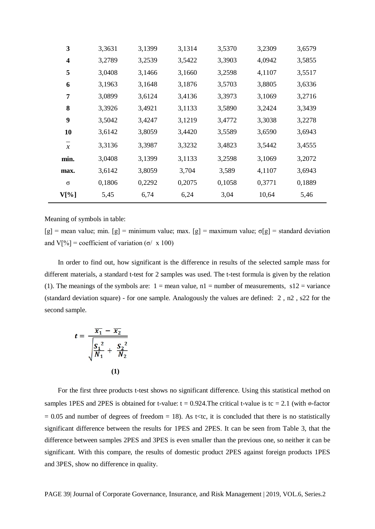| 3              | 3,3631 | 3,1399 | 3,1314 | 3,5370 | 3,2309 | 3,6579 |
|----------------|--------|--------|--------|--------|--------|--------|
| 4              | 3,2789 | 3,2539 | 3,5422 | 3,3903 | 4,0942 | 3,5855 |
| 5              | 3,0408 | 3,1466 | 3,1660 | 3,2598 | 4,1107 | 3,5517 |
| 6              | 3,1963 | 3,1648 | 3,1876 | 3,5703 | 3,8805 | 3,6336 |
| 7              | 3,0899 | 3,6124 | 3,4136 | 3,3973 | 3,1069 | 3,2716 |
| 8              | 3,3926 | 3,4921 | 3,1133 | 3,5890 | 3,2424 | 3,3439 |
| 9              | 3,5042 | 3,4247 | 3,1219 | 3,4772 | 3,3038 | 3,2278 |
| 10             | 3,6142 | 3,8059 | 3,4420 | 3,5589 | 3,6590 | 3,6943 |
| $\overline{x}$ | 3,3136 | 3,3987 | 3,3232 | 3,4823 | 3,5442 | 3,4555 |
| min.           | 3,0408 | 3,1399 | 3,1133 | 3,2598 | 3,1069 | 3,2072 |
| max.           | 3,6142 | 3,8059 | 3,704  | 3,589  | 4,1107 | 3,6943 |
| $\sigma$       | 0,1806 | 0,2292 | 0,2075 | 0,1058 | 0,3771 | 0,1889 |
| V[%]           | 5,45   | 6,74   | 6,24   | 3,04   | 10,64  | 5,46   |

Meaning of symbols in table:

[g] = mean value; min. [g] = minimum value; max. [g] = maximum value;  $\sigma[g]$  = standard deviation and V[%] = coefficient of variation (σ/ x 100)

In order to find out, how significant is the difference in results of the selected sample mass for different materials, a standard t-test for 2 samples was used. The t-test formula is given by the relation (1). The meanings of the symbols are:  $1 =$  mean value,  $n1 =$  number of measurements,  $s12 =$  variance (standard deviation square) - for one sample. Analogously the values are defined: 2 , n2 , s22 for the second sample.

$$
t = \frac{\overline{x_1} - \overline{x_2}}{\sqrt{\frac{S_1^2}{N_1} + \frac{S_2^2}{N_2}}}
$$
\n(1)

For the first three products t-test shows no significant difference. Using this statistical method on samples 1PES and 2PES is obtained for t-value:  $t = 0.924$ . The critical t-value is tc = 2.1 (with  $\odot$ -factor  $= 0.05$  and number of degrees of freedom  $= 18$ ). As t<tc, it is concluded that there is no statistically significant difference between the results for 1PES and 2PES. It can be seen from Table 3, that the difference between samples 2PES and 3PES is even smaller than the previous one, so neither it can be significant. With this compare, the results of domestic product 2PES against foreign products 1PES and 3PES, show no difference in quality.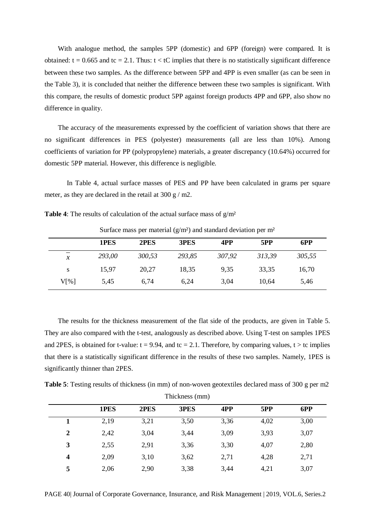With analogue method, the samples 5PP (domestic) and 6PP (foreign) were compared. It is obtained:  $t = 0.665$  and  $tc = 2.1$ . Thus:  $t < tC$  implies that there is no statistically significant difference between these two samples. As the difference between 5PP and 4PP is even smaller (as can be seen in the Table 3), it is concluded that neither the difference between these two samples is significant. With this compare, the results of domestic product 5PP against foreign products 4PP and 6PP, also show no difference in quality.

The accuracy of the measurements expressed by the coefficient of variation shows that there are no significant differences in PES (polyester) measurements (all are less than 10%). Among coefficients of variation for PP (polypropylene) materials, a greater discrepancy (10.64%) occurred for domestic 5PP material. However, this difference is negligible.

In Table 4, actual surface masses of PES and PP have been calculated in grams per square meter, as they are declared in the retail at 300 g / m2.

|               | 1PES   | 2PES   | 3PES   | 4PP    | 5PP    | 6PP    |
|---------------|--------|--------|--------|--------|--------|--------|
| $\mathcal{X}$ | 293,00 | 300,53 | 293,85 | 307,92 | 313.39 | 305,55 |
| S             | 15,97  | 20,27  | 18,35  | 9,35   | 33,35  | 16,70  |
| V[%]          | 5,45   | 6,74   | 6,24   | 3,04   | 10.64  | 5,46   |

**Table 4**: The results of calculation of the actual surface mass of  $g/m^2$ 

Surface mass per material  $(g/m^2)$  and standard deviation per m<sup>2</sup>

The results for the thickness measurement of the flat side of the products, are given in Table 5. They are also compared with the t-test, analogously as described above. Using T-test on samples 1PES and 2PES, is obtained for t-value:  $t = 9.94$ , and  $tc = 2.1$ . Therefore, by comparing values,  $t > tc$  implies that there is a statistically significant difference in the results of these two samples. Namely, 1PES is significantly thinner than 2PES.

**Table 5**: Testing results of thickness (in mm) of non-woven geotextiles declared mass of 300 g per m2 Thickness (mm)

|                | 1PES | 2PES | 3PES | 4PP  | 5PP  | 6PP  |
|----------------|------|------|------|------|------|------|
|                | 2,19 | 3,21 | 3,50 | 3,36 | 4,02 | 3,00 |
| $\overline{2}$ | 2,42 | 3,04 | 3,44 | 3,09 | 3,93 | 3,07 |
| 3              | 2,55 | 2,91 | 3,36 | 3,30 | 4,07 | 2,80 |
| 4              | 2,09 | 3,10 | 3,62 | 2,71 | 4,28 | 2,71 |
| 5              | 2,06 | 2,90 | 3,38 | 3,44 | 4,21 | 3,07 |

PAGE 40| Journal of Corporate Governance, Insurance, and Risk Management | 2019, VOL.6, Series.2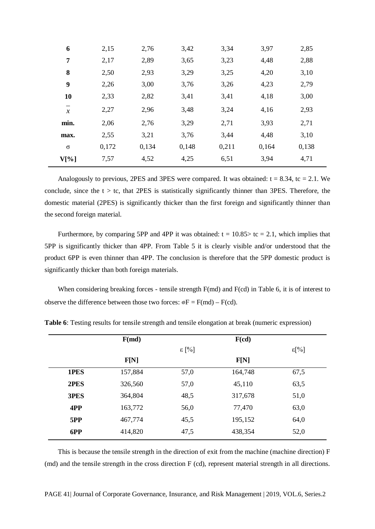| 6             | 2,15  | 2,76  | 3,42  | 3,34  | 3,97  | 2,85  |
|---------------|-------|-------|-------|-------|-------|-------|
| 7             | 2,17  | 2,89  | 3,65  | 3,23  | 4,48  | 2,88  |
| 8             | 2,50  | 2,93  | 3,29  | 3,25  | 4,20  | 3,10  |
| 9             | 2,26  | 3,00  | 3,76  | 3,26  | 4,23  | 2,79  |
| 10            | 2,33  | 2,82  | 3,41  | 3,41  | 4,18  | 3,00  |
| $\mathcal{X}$ | 2,27  | 2,96  | 3,48  | 3,24  | 4,16  | 2,93  |
| min.          | 2,06  | 2,76  | 3,29  | 2,71  | 3,93  | 2,71  |
| max.          | 2,55  | 3,21  | 3,76  | 3,44  | 4,48  | 3,10  |
| $\sigma$      | 0,172 | 0,134 | 0,148 | 0,211 | 0,164 | 0,138 |
| $V[\%]$       | 7,57  | 4,52  | 4,25  | 6,51  | 3,94  | 4,71  |

Analogously to previous, 2PES and 3PES were compared. It was obtained:  $t = 8.34$ ,  $tc = 2.1$ . We conclude, since the  $t > t$ c, that 2PES is statistically significantly thinner than 3PES. Therefore, the domestic material (2PES) is significantly thicker than the first foreign and significantly thinner than the second foreign material.

Furthermore, by comparing 5PP and 4PP it was obtained:  $t = 10.85$  to  $t = 2.1$ , which implies that 5PP is significantly thicker than 4PP. From Table 5 it is clearly visible and/or understood that the product 6PP is even thinner than 4PP. The conclusion is therefore that the 5PP domestic product is significantly thicker than both foreign materials.

When considering breaking forces - tensile strength F(md) and F(cd) in Table 6, it is of interest to observe the difference between those two forces:  $\mathcal{D}F = F(md) - F(cd)$ .

|      | F(md)   |                | F(cd)   |                |
|------|---------|----------------|---------|----------------|
|      |         | $\epsilon$ [%] |         | $\epsilon$ [%] |
|      | F[N]    |                | F[N]    |                |
| 1PES | 157,884 | 57,0           | 164,748 | 67,5           |
| 2PES | 326,560 | 57,0           | 45,110  | 63,5           |
| 3PES | 364,804 | 48,5           | 317,678 | 51,0           |
| 4PP  | 163,772 | 56,0           | 77,470  | 63,0           |
| 5PP  | 467,774 | 45,5           | 195,152 | 64,0           |
| 6PP  | 414,820 | 47,5           | 438,354 | 52,0           |

**Table 6**: Testing results for tensile strength and tensile elongation at break (numeric expression)

This is because the tensile strength in the direction of exit from the machine (machine direction) F (md) and the tensile strength in the cross direction F (cd), represent material strength in all directions.

PAGE 41| Journal of Corporate Governance, Insurance, and Risk Management | 2019, VOL.6, Series.2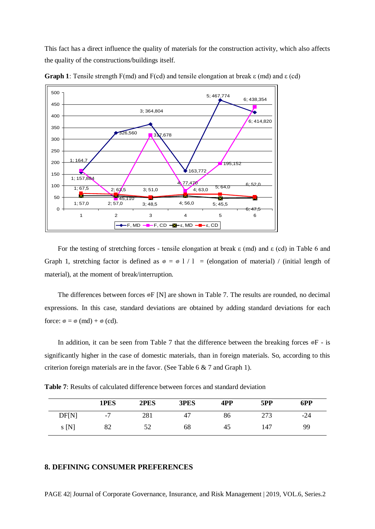This fact has a direct influence the quality of materials for the construction activity, which also affects the quality of the constructions/buildings itself.



**Graph 1**: Tensile strength F(md) and F(cd) and tensile elongation at break ε (md) and ε (cd)

For the testing of stretching forces - tensile elongation at break  $\varepsilon$  (md) and  $\varepsilon$  (cd) in Table 6 and Graph 1, stretching factor is defined as  $\infty = \infty$  1 / 1 = (elongation of material) / (initial length of material), at the moment of break/interruption.

The differences between forces  $\mathscr{F}$  [N] are shown in Table 7. The results are rounded, no decimal expressions. In this case, standard deviations are obtained by adding standard deviations for each force:  $\circ \circ = \circ$  (md) +  $\circ$  (cd).

In addition, it can be seen from Table 7 that the difference between the breaking forces  $\mathcal{P}$  - is significantly higher in the case of domestic materials, than in foreign materials. So, according to this criterion foreign materials are in the favor. (See Table 6 & 7 and Graph 1).

| <b>Table 7:</b> Results of calculated difference between forces and standard deviation |  |
|----------------------------------------------------------------------------------------|--|
|----------------------------------------------------------------------------------------|--|

|              | 1PES                  | 2PES | 3PES | 4PP | 5PP        | 6PP   |
|--------------|-----------------------|------|------|-----|------------|-------|
| <b>DF[N]</b> | $\overline{ }$<br>- 1 | 281  | 47   | 86  | 272<br>ں ا | $-24$ |
| S[N]         | 82                    | ے ر  | 68   | 45  | 147        | 99    |

## **8. DEFINING CONSUMER PREFERENCES**

PAGE 42| Journal of Corporate Governance, Insurance, and Risk Management | 2019, VOL.6, Series.2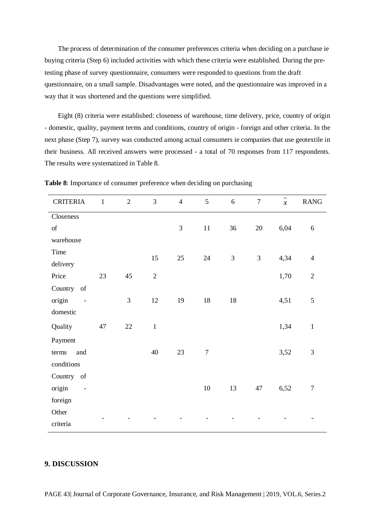The process of determination of the consumer preferences criteria when deciding on a purchase ie buying criteria (Step 6) included activities with which these criteria were established. During the pretesting phase of survey questionnaire, consumers were responded to questions from the draft questionnaire, on a small sample. Disadvantages were noted, and the questionnaire was improved in a way that it was shortened and the questions were simplified.

Eight (8) criteria were established: closeness of warehouse, time delivery, price, country of origin - domestic, quality, payment terms and conditions, country of origin - foreign and other criteria. In the next phase (Step 7), survey was conducted among actual consumers ie companies that use geotextile in their business. All received answers were processed - a total of 70 responses from 117 respondents. The results were systematized in Table 8.

| <b>CRITERIA</b>                                                                                               | $\mathbf{1}$ | $\overline{2}$ | $\overline{3}$ | $\overline{4}$ | 5                | 6              | $\overline{7}$ | $\overline{x}$ | <b>RANG</b>    |
|---------------------------------------------------------------------------------------------------------------|--------------|----------------|----------------|----------------|------------------|----------------|----------------|----------------|----------------|
| Closeness                                                                                                     |              |                |                |                |                  |                |                |                |                |
| $% \left( \left( \mathcal{A},\mathcal{A}\right) \right) =\left( \mathcal{A},\mathcal{A}\right)$ of            |              |                |                | 3              | $11\,$           | 36             | $20\,$         | 6,04           | $\sqrt{6}$     |
| warehouse                                                                                                     |              |                |                |                |                  |                |                |                |                |
| Time                                                                                                          |              |                | 15             | 25             | 24               | $\mathfrak{Z}$ | 3              | 4,34           | $\overline{4}$ |
| delivery                                                                                                      |              |                |                |                |                  |                |                |                |                |
| Price                                                                                                         | 23           | 45             | $\sqrt{2}$     |                |                  |                |                | 1,70           | $\overline{2}$ |
| Country<br>$% \left( \left( \mathcal{A},\mathcal{A}\right) \right) =\left( \mathcal{A},\mathcal{A}\right)$ of |              |                |                |                |                  |                |                |                |                |
| origin<br>$\qquad \qquad \blacksquare$                                                                        |              | $\overline{3}$ | 12             | 19             | $18\,$           | $18\,$         |                | 4,51           | 5              |
| domestic                                                                                                      |              |                |                |                |                  |                |                |                |                |
| Quality                                                                                                       | 47           | $22\,$         | $\mathbf{1}$   |                |                  |                |                | 1,34           | $\mathbf{1}$   |
| Payment                                                                                                       |              |                |                |                |                  |                |                |                |                |
| and<br>terms                                                                                                  |              |                | 40             | 23             | $\boldsymbol{7}$ |                |                | 3,52           | $\mathfrak{Z}$ |
| conditions                                                                                                    |              |                |                |                |                  |                |                |                |                |
| Country of                                                                                                    |              |                |                |                |                  |                |                |                |                |
| origin                                                                                                        |              |                |                |                | $10\,$           | 13             | 47             | 6,52           | $\tau$         |
| foreign                                                                                                       |              |                |                |                |                  |                |                |                |                |
| Other                                                                                                         |              |                |                |                |                  |                |                |                |                |
| criteria                                                                                                      |              |                |                |                |                  |                |                |                |                |

**Table 8**: Importance of consumer preference when deciding on purchasing

# **9. DISCUSSION**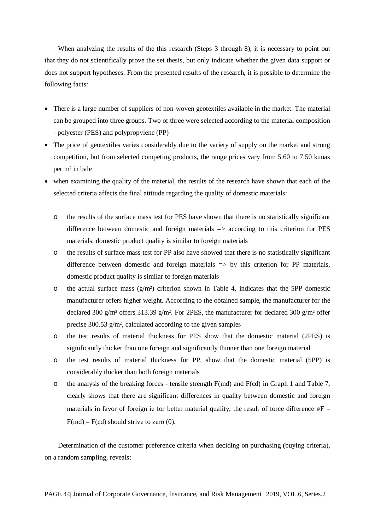When analyzing the results of the this research (Steps 3 through 8), it is necessary to point out that they do not scientifically prove the set thesis, but only indicate whether the given data support or does not support hypotheses. From the presented results of the research, it is possible to determine the following facts:

- There is a large number of suppliers of non-woven geotextiles available in the market. The material can be grouped into three groups. Two of three were selected according to the material composition - polyester (PES) and polypropylene (PP)
- The price of geotextiles varies considerably due to the variety of supply on the market and strong competition, but from selected competing products, the range prices vary from 5.60 to 7.50 kunas per m² in bale
- when examining the quality of the material, the results of the research have shown that each of the selected criteria affects the final attitude regarding the quality of domestic materials:
	- o the results of the surface mass test for PES have shown that there is no statistically significant difference between domestic and foreign materials  $\Rightarrow$  according to this criterion for PES materials, domestic product quality is similar to foreign materials
	- o the results of surface mass test for PP also have showed that there is no statistically significant difference between domestic and foreign materials  $\Rightarrow$  by this criterion for PP materials, domestic product quality is similar to foreign materials
	- o the actual surface mass  $(g/m<sup>2</sup>)$  criterion shown in Table 4, indicates that the 5PP domestic manufacturer offers higher weight. According to the obtained sample, the manufacturer for the declared 300 g/m<sup>2</sup> offers 313.39 g/m<sup>2</sup>. For 2PES, the manufacturer for declared 300 g/m<sup>2</sup> offer precise 300.53 g/m², calculated according to the given samples
	- o the test results of material thickness for PES show that the domestic material (2PES) is significantly thicker than one foreign and significantly thinner than one foreign material
	- o the test results of material thickness for PP, show that the domestic material (5PP) is considerably thicker than both foreign materials
	- $\circ$  the analysis of the breaking forces tensile strength F(md) and F(cd) in Graph 1 and Table 7, clearly shows that there are significant differences in quality between domestic and foreign materials in favor of foreign ie for better material quality, the result of force difference  $\mathcal{F}$  =  $F(md) - F(cd)$  should strive to zero (0).

Determination of the customer preference criteria when deciding on purchasing (buying criteria), on a random sampling, reveals: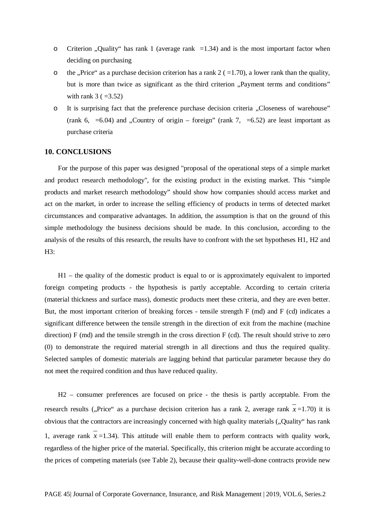- o Criterion "Quality" has rank 1 (average rank  $=1.34$ ) and is the most important factor when deciding on purchasing
- o the ...Price" as a purchase decision criterion has a rank  $2 (=1.70)$ , a lower rank than the quality, but is more than twice as significant as the third criterion "Payment terms and conditions" with rank  $3 (=3.52)$
- o It is surprising fact that the preference purchase decision criteria "Closeness of warehouse" (rank 6, =6.04) and "Country of origin – foreign" (rank 7, =6.52) are least important as purchase criteria

#### **10. CONCLUSIONS**

For the purpose of this paper was designed "proposal of the operational steps of a simple market and product research methodology", for the existing product in the existing market. This "simple products and market research methodology" should show how companies should access market and act on the market, in order to increase the selling efficiency of products in terms of detected market circumstances and comparative advantages. In addition, the assumption is that on the ground of this simple methodology the business decisions should be made. In this conclusion, according to the analysis of the results of this research, the results have to confront with the set hypotheses H1, H2 and H3:

H1 – the quality of the domestic product is equal to or is approximately equivalent to imported foreign competing products - the hypothesis is partly acceptable. According to certain criteria (material thickness and surface mass), domestic products meet these criteria, and they are even better. But, the most important criterion of breaking forces - tensile strength F (md) and F (cd) indicates a significant difference between the tensile strength in the direction of exit from the machine (machine direction)  $F$  (md) and the tensile strength in the cross direction  $F$  (cd). The result should strive to zero (0) to demonstrate the required material strength in all directions and thus the required quality. Selected samples of domestic materials are lagging behind that particular parameter because they do not meet the required condition and thus have reduced quality.

H2 – consumer preferences are focused on price - the thesis is partly acceptable. From the research results ("Price" as a purchase decision criterion has a rank 2, average rank  $x=1.70$ ) it is obvious that the contractors are increasingly concerned with high quality materials ("Quality" has rank 1, average rank  $x = 1.34$ ). This attitude will enable them to perform contracts with quality work, regardless of the higher price of the material. Specifically, this criterion might be accurate according to the prices of competing materials (see Table 2), because their quality-well-done contracts provide new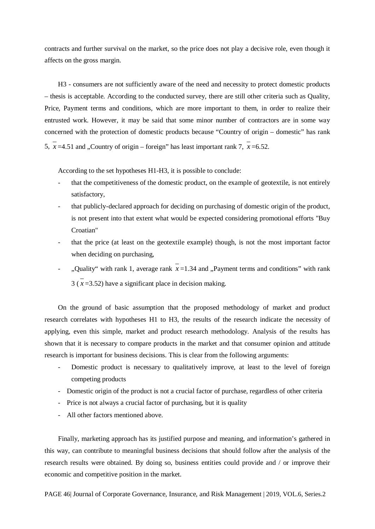contracts and further survival on the market, so the price does not play a decisive role, even though it affects on the gross margin.

H3 - consumers are not sufficiently aware of the need and necessity to protect domestic products – thesis is acceptable. According to the conducted survey, there are still other criteria such as Quality, Price, Payment terms and conditions, which are more important to them, in order to realize their entrusted work. However, it may be said that some minor number of contractors are in some way concerned with the protection of domestic products because "Country of origin – domestic" has rank  $\overline{x}$  =4.51 and . Country of origin – foreign" has least important rank 7,  $\overline{x}$  =6.52.

According to the set hypotheses H1-H3, it is possible to conclude:

- that the competitiveness of the domestic product, on the example of geotextile, is not entirely satisfactory,
- that publicly-declared approach for deciding on purchasing of domestic origin of the product, is not present into that extent what would be expected considering promotional efforts "Buy Croatian"
- that the price (at least on the geotextile example) though, is not the most important factor when deciding on purchasing,
- ", Quality" with rank 1, average rank  $\overline{x}$  =1.34 and "Payment terms and conditions" with rank  $3(\overline{x} = 3.52)$  have a significant place in decision making.

On the ground of basic assumption that the proposed methodology of market and product research correlates with hypotheses H1 to H3, the results of the research indicate the necessity of applying, even this simple, market and product research methodology. Analysis of the results has shown that it is necessary to compare products in the market and that consumer opinion and attitude research is important for business decisions. This is clear from the following arguments:

- Domestic product is necessary to qualitatively improve, at least to the level of foreign competing products
- Domestic origin of the product is not a crucial factor of purchase, regardless of other criteria
- Price is not always a crucial factor of purchasing, but it is quality
- All other factors mentioned above.

Finally, marketing approach has its justified purpose and meaning, and information's gathered in this way, can contribute to meaningful business decisions that should follow after the analysis of the research results were obtained. By doing so, business entities could provide and / or improve their economic and competitive position in the market.

PAGE 46| Journal of Corporate Governance, Insurance, and Risk Management | 2019, VOL.6, Series.2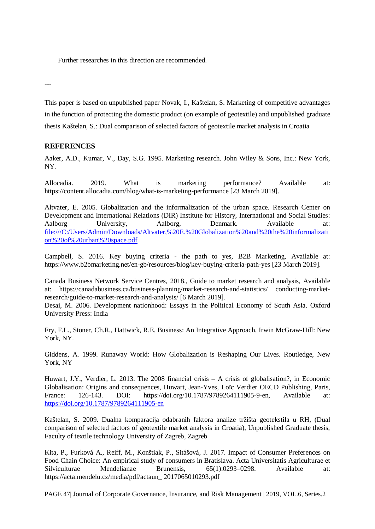Further researches in this direction are recommended.

---

This paper is based on unpublished paper Novak, I., Kaštelan, S. Marketing of competitive advantages in the function of protecting the domestic product (on example of geotextile) and unpublished graduate thesis Kaštelan, S.: Dual comparison of selected factors of geotextile market analysis in Croatia

# **REFERENCES**

Aaker, A.D., Kumar, V., Day, S.G. 1995. Marketing research. John Wiley & Sons, Inc.: New York, NY.

Allocadia. 2019. What is marketing performance? Available at: https://content.allocadia.com/blog/what-is-marketing-performance [23 March 2019].

Altvater, E. 2005. Globalization and the informalization of the urban space. Research Center on Development and International Relations (DIR) Institute for History, International and Social Studies: Aalborg University, Aalborg, Denmark. Available at: file:///C:/Users/Admin/Downloads/Altvater,%20E.%20Globalization%20and%20the%20informalizati on%20of%20urban%20space.pdf

Campbell, S. 2016. Key buying criteria - the path to yes, B2B Marketing, Available at: https://www.b2bmarketing.net/en-gb/resources/blog/key-buying-criteria-path-yes [23 March 2019].

Canada Business Network Service Centres, 2018., Guide to market research and analysis, Available at: https://canadabusiness.ca/business-planning/market-research-and-statistics/ conducting-marketresearch/guide-to-market-research-and-analysis/ [6 March 2019].

Desai, M. 2006. Development nationhood: Essays in the Political Economy of South Asia. Oxford University Press: India

Fry, F.L., Stoner, Ch.R., Hattwick, R.E. Business: An Integrative Approach. Irwin McGraw-Hill: New York, NY.

Giddens, A. 1999. Runaway World: How Globalization is Reshaping Our Lives. Routledge, New York, NY

Huwart, J.Y., Verdier, L. 2013. The 2008 financial crisis – A crisis of globalisation?, in Economic Globalisation: Origins and consequences, Huwart, Jean-Yves, Loïc Verdier OECD Publishing, Paris, France: 126-143. DOI: https://doi.org/10.1787/9789264111905-9-en, Available at: <https://doi.org/10.1787/9789264111905-en>

Kaštelan, S. 2009. Dualna komparacija odabranih faktora analize tržišta geotekstila u RH, (Dual comparison of selected factors of geotextile market analysis in Croatia), Unpublished Graduate thesis, Faculty of textile technology University of Zagreb, Zagreb

Kita, P., Furková A., Reiff, M., Konštiak, P., Sitášová, J. 2017. Impact of Consumer Preferences on Food Chain Choice: An empirical study of consumers in Bratislava. Acta Universitatis Agriculturae et Silviculturae Mendelianae Brunensis, 65(1):0293–0298. Available at: https://acta.mendelu.cz/media/pdf/actaun\_ 2017065010293.pdf

PAGE 47| Journal of Corporate Governance, Insurance, and Risk Management | 2019, VOL.6, Series.2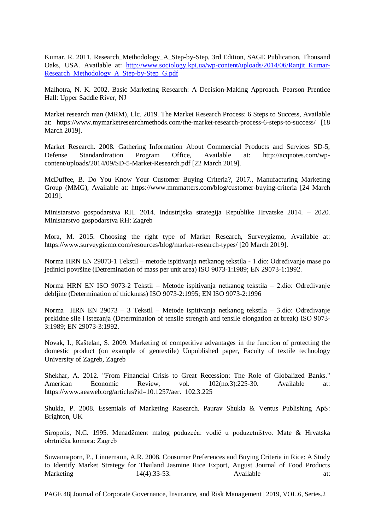Kumar, R. 2011. Research\_Methodology\_A\_Step-by-Step, 3rd Edition, SAGE Publication, Thousand Oaks, USA. Available at: http://www.sociology.kpi.ua/wp-content/uploads/2014/06/Ranjit Kumar-[Research\\_Methodology\\_A\\_Step-by-Step\\_G.pdf](http://www.sociology.kpi.ua/wp-content/uploads/2014/06/Ranjit_Kumar-Research_Methodology_A_Step-by-Step_G.pdf)

Malhotra, N. K. 2002. Basic Marketing Research: A Decision-Making Approach. Pearson Prentice Hall: Upper Saddle River, NJ

Market research man (MRM), Llc. 2019. The Market Research Process: 6 Steps to Success, Available at: https://www.mymarketresearchmethods.com/the-market-research-process-6-steps-to-success/ [18 March 2019].

Market Research. 2008. Gathering Information About Commercial Products and Services SD-5, Defense Standardization Program Office, Available at: http://acqnotes.com/wpcontent/uploads/2014/09/SD-5-Market-Research.pdf [22 March 2019].

McDuffee, B. Do You Know Your Customer Buying Criteria?, 2017., Manufacturing Marketing Group (MMG), Available at: https://www.mmmatters.com/blog/customer-buying-criteria [24 March 2019].

Ministarstvo gospodarstva RH. 2014. Industrijska strategija Republike Hrvatske 2014. – 2020. Ministarstvo gospodarstva RH: Zagreb

Mora, M. 2015. Choosing the right type of Market Research, Surveygizmo, Available at: https://www.surveygizmo.com/resources/blog/market-research-types/ [20 March 2019].

Norma HRN EN 29073-1 Tekstil – metode ispitivanja netkanog tekstila - 1.dio: Određivanje mase po jedinici površine (Detremination of mass per unit area) ISO 9073-1:1989; EN 29073-1:1992.

Norma HRN EN ISO 9073-2 Tekstil – Metode ispitivanja netkanog tekstila – 2.dio: Određivanje debljine (Determination of thickness) ISO 9073-2:1995; EN ISO 9073-2:1996

Norma HRN EN 29073 – 3 Tekstil – Metode ispitivanja netkanog tekstila – 3.dio: Određivanje prekidne sile i istezanja (Determination of tensile strength and tensile elongation at break) ISO 9073- 3:1989; EN 29073-3:1992.

Novak, I., Kaštelan, S. 2009. Marketing of competitive advantages in the function of protecting the domestic product (on example of geotextile) Unpublished paper, Faculty of textile technology University of Zagreb, Zagreb

Shekhar, A. 2012. "From Financial Crisis to Great Recession: The Role of Globalized Banks."<br>American Economic Review vol  $102(n_0.3)$ :225-30. Available at: American Economic Review, vol. 102(no.3):225-30. Available at: https://www.aeaweb.org/articles?id=10.1257/aer. 102.3.225

Shukla, P. 2008. Essentials of Marketing Rasearch. Paurav Shukla & Ventus Publishing ApS: Brighton, UK

Siropolis, N.C. 1995. Menadžment malog poduzeća: vodič u poduzetništvo. Mate & Hrvatska obrtnička komora: Zagreb

Suwannaporn, P., Linnemann, A.R. 2008. Consumer Preferences and Buying Criteria in Rice: A Study to Identify Market Strategy for Thailand Jasmine Rice Export, August Journal of Food Products Marketing 14(4):33-53. Available at:

PAGE 48| Journal of Corporate Governance, Insurance, and Risk Management | 2019, VOL.6, Series.2